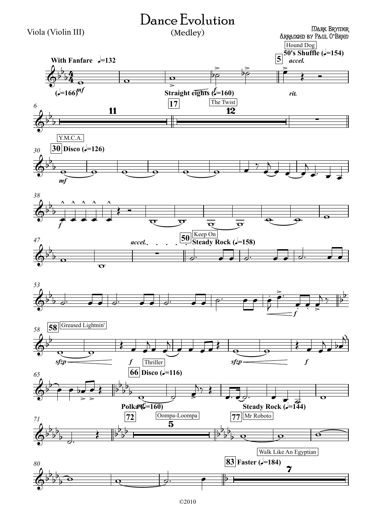